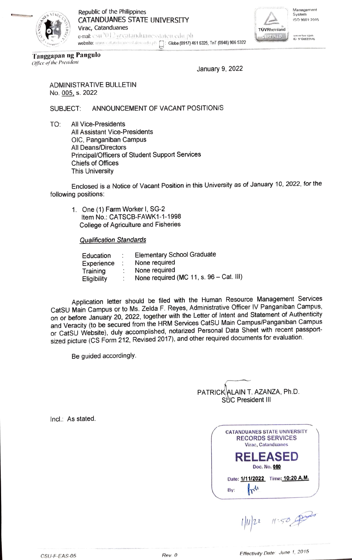

Republic of the Philippines CATANDUANES STATE UNIVERSITY Virac, Catanduanes e-mail: csu?012@catanduanesstateu.edu.ph website: www.catanduanesstateu.edu.ph [1]: Globe (0917) 461 6325; TnT (0948) 906 5322



Management<br>System ISO 9001:2015

www.tuv.com<br>ID 9108633B46

Tanggapan ng Pangulo<br>Office of the President

January 9, 2022

ADMINISTRATIVE BULLETIN No. 005, s. 2022

## SUBJECT: ANNOUNCEMENT OF VACANT POSITION/S

All Vice-Presidents All Assistant Vice-Presidents TO: OIC, Panganiban Campus All Deans/Directors Principal/Oficers of Student Support Services Chiefs of Offices This University

Enclosed is a Notice of Vacant Position in this University as of January 10, 2022, for the following positions:

1. One (1) Farm Worker I, SG-2 Item No.: CATSCB-FAWK1-1-1998 College of Agriculture and Fisheries

Qualification Standards

| Education   | <b>Elementary School Graduate</b>       |
|-------------|-----------------------------------------|
| Experience  | None required                           |
| Training    | None required                           |
| Eligibility | None required (MC 11, s. 96 - Cat. III) |

Application letter should be filed with the Human Resource Management Services CatSU Main Campus or to Ms. Zelda F. Reyes, Administrative Officer IV Panganiban Campus, on or before January 20, 2022, together with the Letter of Intent and Statement of Authenticity and Veracity (to be secured from the HRM Services CatSU Main Campus/Panganiban Campus or CatsU Website), duly accomplished, notarized Personal Data Sheet with recent passport sized picture (CS Form 212, Revised 2017), and other required documents for evaluation.

Be guided accordingly.

PATRICK ALAIN T. AZANZA, Ph.D. **SUC President III** 

> CATANDUANES STATE UNIVERSITY RECORDs SERVICES Virac, Catanduanes RELEASED Doc. No. 060 Date: 1/11/2022 Time: 10:20 A.M.  $h^{\prime\prime}$ By:

1/11/22 11:50 000

Incl.: As stated.